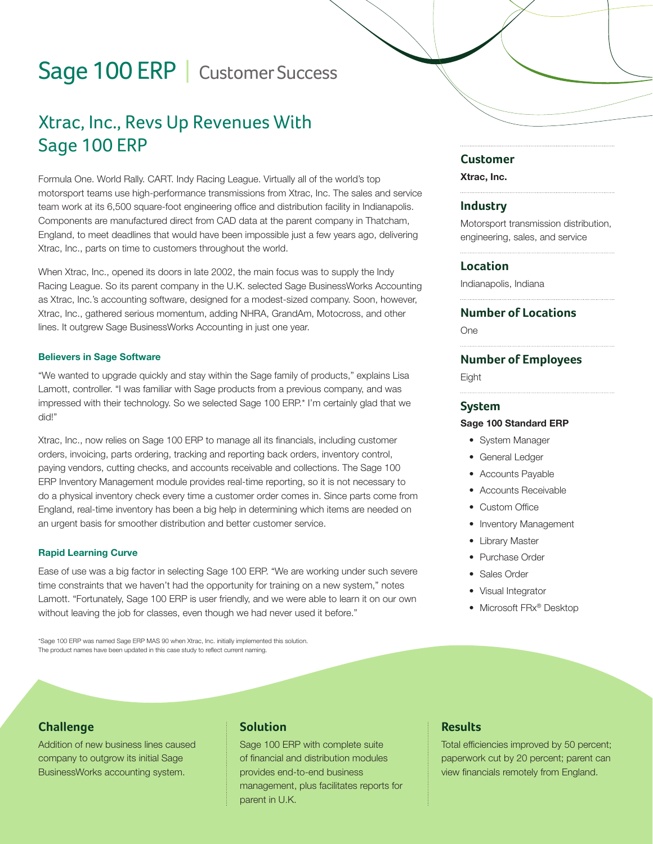# Sage 100 ERP | Customer Success

# Xtrac, Inc., Revs Up Revenues With Sage 100 ERP

Formula One. World Rally. CART. Indy Racing League. Virtually all of the world's top motorsport teams use high-performance transmissions from Xtrac, Inc. The sales and service team work at its 6,500 square-foot engineering office and distribution facility in Indianapolis. Components are manufactured direct from CAD data at the parent company in Thatcham, England, to meet deadlines that would have been impossible just a few years ago, delivering Xtrac, Inc., parts on time to customers throughout the world.

When Xtrac, Inc., opened its doors in late 2002, the main focus was to supply the Indy Racing League. So its parent company in the U.K. selected Sage BusinessWorks Accounting as Xtrac, Inc.'s accounting software, designed for a modest-sized company. Soon, however, Xtrac, Inc., gathered serious momentum, adding NHRA, GrandAm, Motocross, and other lines. It outgrew Sage BusinessWorks Accounting in just one year.

#### Believers in Sage Software

"We wanted to upgrade quickly and stay within the Sage family of products," explains Lisa Lamott, controller. "I was familiar with Sage products from a previous company, and was impressed with their technology. So we selected Sage 100 ERP.\* I'm certainly glad that we did!"

Xtrac, Inc., now relies on Sage 100 ERP to manage all its financials, including customer orders, invoicing, parts ordering, tracking and reporting back orders, inventory control, paying vendors, cutting checks, and accounts receivable and collections. The Sage 100 ERP Inventory Management module provides real-time reporting, so it is not necessary to do a physical inventory check every time a customer order comes in. Since parts come from England, real-time inventory has been a big help in determining which items are needed on an urgent basis for smoother distribution and better customer service.

#### Rapid Learning Curve

Ease of use was a big factor in selecting Sage 100 ERP. "We are working under such severe time constraints that we haven't had the opportunity for training on a new system," notes Lamott. "Fortunately, Sage 100 ERP is user friendly, and we were able to learn it on our own without leaving the job for classes, even though we had never used it before."

\*Sage 100 ERP was named Sage ERP MAS 90 when Xtrac, Inc. initially implemented this solution. The product names have been updated in this case study to reflect current naming.

#### **Customer**

Xtrac, Inc.

#### **Industry**

Motorsport transmission distribution, engineering, sales, and service

#### **Location**

Indianapolis, Indiana

#### **Number of Locations**

One

#### **Number of Employees**

**Eight** 

#### **System**

#### Sage 100 Standard ERP

- System Manager
- General Ledger
- Accounts Payable
- Accounts Receivable
- Custom Office
- Inventory Management
- Library Master
- Purchase Order
- Sales Order
- Visual Integrator
- Microsoft FRx<sup>®</sup> Desktop

## **Challenge**

Addition of new business lines caused company to outgrow its initial Sage BusinessWorks accounting system.

# **Solution**

Sage 100 ERP with complete suite of financial and distribution modules provides end-to-end business management, plus facilitates reports for parent in U.K.

## **Results**

Total efficiencies improved by 50 percent; paperwork cut by 20 percent; parent can view financials remotely from England.